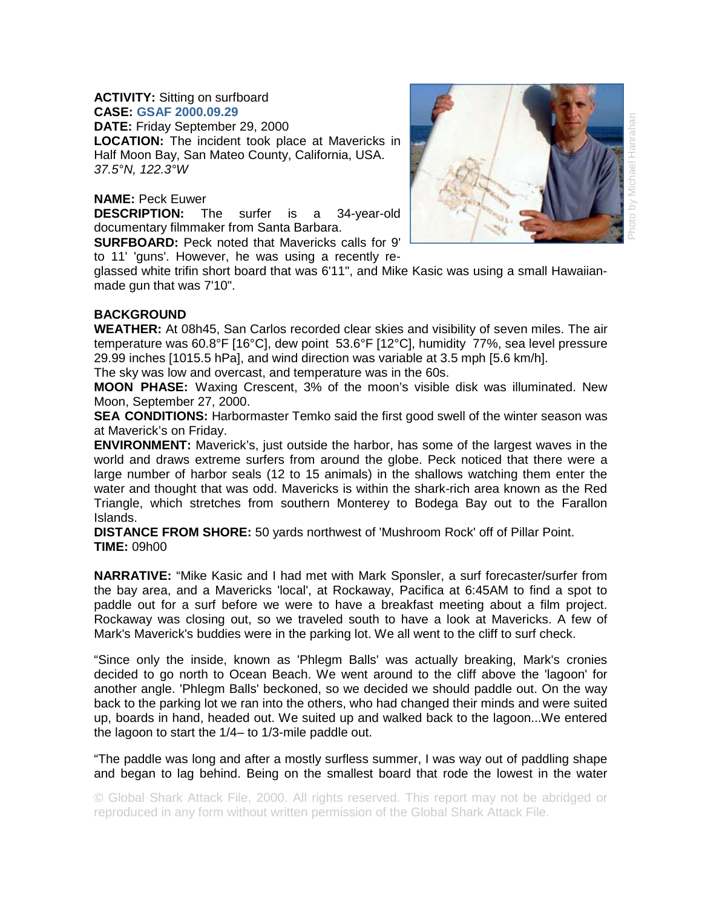## **ACTIVITY:** Sitting on surfboard **CASE: GSAF 2000.09.29**

**DATE:** Friday September 29, 2000

**LOCATION:** The incident took place at Mavericks in Half Moon Bay, San Mateo County, California, USA. *37.5°N, 122.3°W* 

## **NAME:** Peck Euwer

**DESCRIPTION:** The surfer is a 34-year-old documentary filmmaker from Santa Barbara.

**SURFBOARD:** Peck noted that Mavericks calls for 9' to 11' 'guns'. However, he was using a recently re-



glassed white trifin short board that was 6'11", and Mike Kasic was using a small Hawaiianmade gun that was 7'10".

## **BACKGROUND**

**WEATHER:** At 08h45, San Carlos recorded clear skies and visibility of seven miles. The air temperature was 60.8°F [16°C], dew point 53.6°F [12°C], humidity 77%, sea level pressure 29.99 inches [1015.5 hPa], and wind direction was variable at 3.5 mph [5.6 km/h].

The sky was low and overcast, and temperature was in the 60s.

**MOON PHASE:** Waxing Crescent, 3% of the moon's visible disk was illuminated. New Moon, September 27, 2000.

**SEA CONDITIONS:** Harbormaster Temko said the first good swell of the winter season was at Maverick's on Friday.

**ENVIRONMENT:** Maverick's, just outside the harbor, has some of the largest waves in the world and draws extreme surfers from around the globe. Peck noticed that there were a large number of harbor seals (12 to 15 animals) in the shallows watching them enter the water and thought that was odd. Mavericks is within the shark-rich area known as the Red Triangle, which stretches from southern Monterey to Bodega Bay out to the Farallon Islands.

**DISTANCE FROM SHORE:** 50 yards northwest of 'Mushroom Rock' off of Pillar Point. **TIME:** 09h00

**NARRATIVE:** "Mike Kasic and I had met with Mark Sponsler, a surf forecaster/surfer from the bay area, and a Mavericks 'local', at Rockaway, Pacifica at 6:45AM to find a spot to paddle out for a surf before we were to have a breakfast meeting about a film project. Rockaway was closing out, so we traveled south to have a look at Mavericks. A few of Mark's Maverick's buddies were in the parking lot. We all went to the cliff to surf check.

"Since only the inside, known as 'Phlegm Balls' was actually breaking, Mark's cronies decided to go north to Ocean Beach. We went around to the cliff above the 'lagoon' for another angle. 'Phlegm Balls' beckoned, so we decided we should paddle out. On the way back to the parking lot we ran into the others, who had changed their minds and were suited up, boards in hand, headed out. We suited up and walked back to the lagoon...We entered the lagoon to start the 1/4– to 1/3-mile paddle out.

"The paddle was long and after a mostly surfless summer, I was way out of paddling shape and began to lag behind. Being on the smallest board that rode the lowest in the water

© Global Shark Attack File, 2000. All rights reserved. This report may not be abridged or reproduced in any form without written permission of the Global Shark Attack File.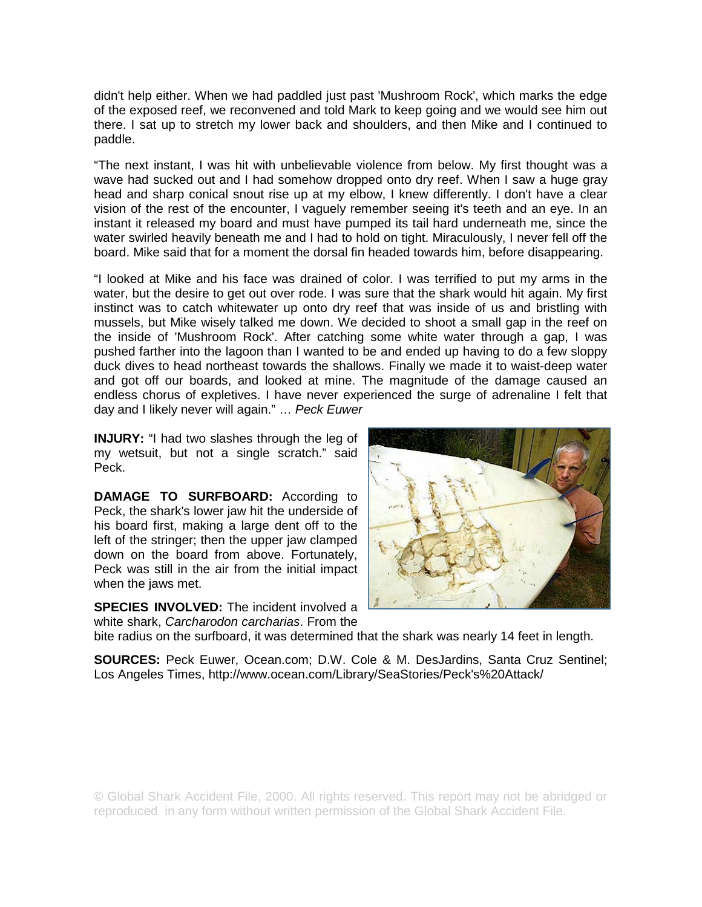didn't help either. When we had paddled just past 'Mushroom Rock', which marks the edge of the exposed reef, we reconvened and told Mark to keep going and we would see him out there. I sat up to stretch my lower back and shoulders, and then Mike and I continued to paddle.

"The next instant, I was hit with unbelievable violence from below. My first thought was a wave had sucked out and I had somehow dropped onto dry reef. When I saw a huge gray head and sharp conical snout rise up at my elbow, I knew differently. I don't have a clear vision of the rest of the encounter, I vaguely remember seeing it's teeth and an eye. In an instant it released my board and must have pumped its tail hard underneath me, since the water swirled heavily beneath me and I had to hold on tight. Miraculously, I never fell off the board. Mike said that for a moment the dorsal fin headed towards him, before disappearing.

"I looked at Mike and his face was drained of color. I was terrified to put my arms in the water, but the desire to get out over rode. I was sure that the shark would hit again. My first instinct was to catch whitewater up onto dry reef that was inside of us and bristling with mussels, but Mike wisely talked me down. We decided to shoot a small gap in the reef on the inside of 'Mushroom Rock'. After catching some white water through a gap, I was pushed farther into the lagoon than I wanted to be and ended up having to do a few sloppy duck dives to head northeast towards the shallows. Finally we made it to waist-deep water and got off our boards, and looked at mine. The magnitude of the damage caused an endless chorus of expletives. I have never experienced the surge of adrenaline I felt that day and I likely never will again." … *Peck Euwer* 

**INJURY:** "I had two slashes through the leg of my wetsuit, but not a single scratch." said Peck.

**DAMAGE TO SURFBOARD:** According to Peck, the shark's lower jaw hit the underside of his board first, making a large dent off to the left of the stringer; then the upper jaw clamped down on the board from above. Fortunately, Peck was still in the air from the initial impact when the jaws met.

**SPECIES INVOLVED:** The incident involved a white shark, *Carcharodon carcharias*. From the



bite radius on the surfboard, it was determined that the shark was nearly 14 feet in length.

**SOURCES:** Peck Euwer, Ocean.com; D.W. Cole & M. DesJardins, Santa Cruz Sentinel; Los Angeles Times, http://www.ocean.com/Library/SeaStories/Peck's%20Attack/

© Global Shark Accident File, 2000. All rights reserved. This report may not be abridged or reproduced in any form without written permission of the Global Shark Accident File.